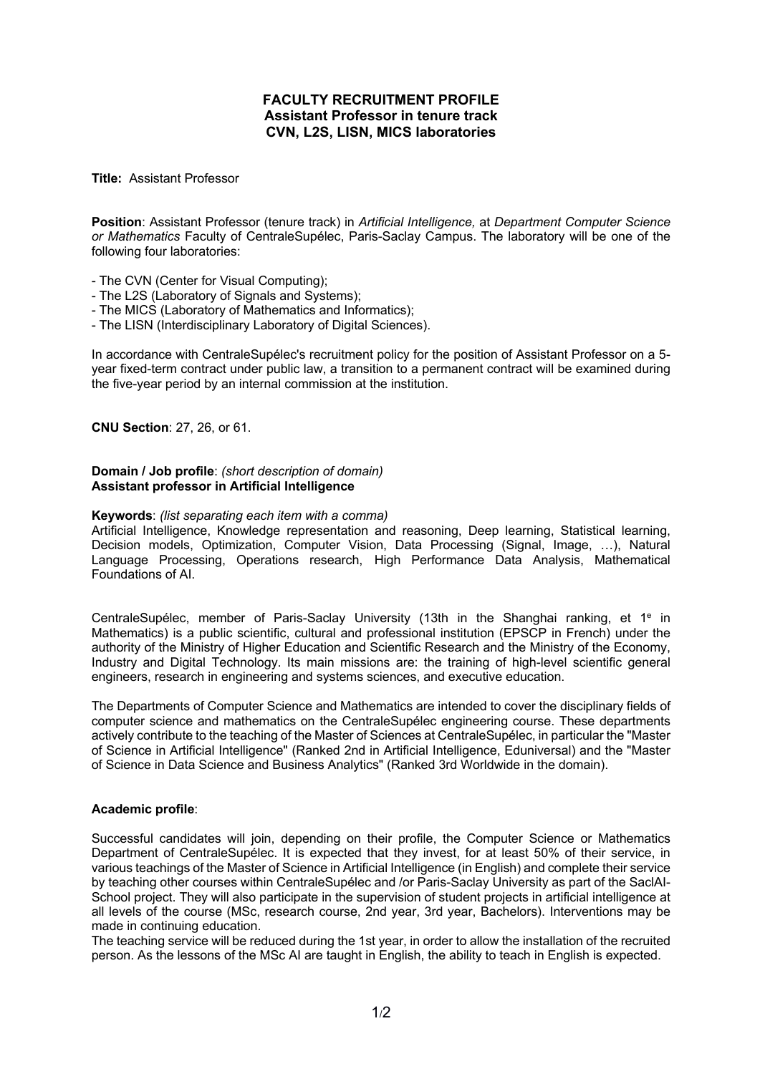# **FACULTY RECRUITMENT PROFILE Assistant Professor in tenure track CVN, L2S, LISN, MICS laboratories**

### **Title:** Assistant Professor

**Position**: Assistant Professor (tenure track) in *Artificial Intelligence,* at *Department Computer Science or Mathematics* Faculty of CentraleSupélec, Paris-Saclay Campus. The laboratory will be one of the following four laboratories:

- The CVN (Center for Visual Computing);
- The L2S (Laboratory of Signals and Systems);
- The MICS (Laboratory of Mathematics and Informatics);
- The LISN (Interdisciplinary Laboratory of Digital Sciences).

In accordance with CentraleSupélec's recruitment policy for the position of Assistant Professor on a 5 year fixed-term contract under public law, a transition to a permanent contract will be examined during the five-year period by an internal commission at the institution.

### **CNU Section**: 27, 26, or 61.

### **Domain / Job profile**: *(short description of domain)* **Assistant professor in Artificial Intelligence**

### **Keywords**: *(list separating each item with a comma)*

Artificial Intelligence, Knowledge representation and reasoning, Deep learning, Statistical learning, Decision models, Optimization, Computer Vision, Data Processing (Signal, Image, …), Natural Language Processing, Operations research, High Performance Data Analysis, Mathematical Foundations of AI.

CentraleSupélec, member of Paris-Saclay University (13th in the Shanghai ranking, et 1<sup>e</sup> in Mathematics) is a public scientific, cultural and professional institution (EPSCP in French) under the authority of the Ministry of Higher Education and Scientific Research and the Ministry of the Economy, Industry and Digital Technology. Its main missions are: the training of high-level scientific general engineers, research in engineering and systems sciences, and executive education.

The Departments of Computer Science and Mathematics are intended to cover the disciplinary fields of computer science and mathematics on the CentraleSupélec engineering course. These departments actively contribute to the teaching of the Master of Sciences at CentraleSupélec, in particular the "Master of Science in Artificial Intelligence" (Ranked 2nd in Artificial Intelligence, Eduniversal) and the "Master of Science in Data Science and Business Analytics" (Ranked 3rd Worldwide in the domain).

## **Academic profile**:

Successful candidates will join, depending on their profile, the Computer Science or Mathematics Department of CentraleSupélec. It is expected that they invest, for at least 50% of their service, in various teachings of the Master of Science in Artificial Intelligence (in English) and complete their service by teaching other courses within CentraleSupélec and /or Paris-Saclay University as part of the SaclAI-School project. They will also participate in the supervision of student projects in artificial intelligence at all levels of the course (MSc, research course, 2nd year, 3rd year, Bachelors). Interventions may be made in continuing education.

The teaching service will be reduced during the 1st year, in order to allow the installation of the recruited person. As the lessons of the MSc AI are taught in English, the ability to teach in English is expected.